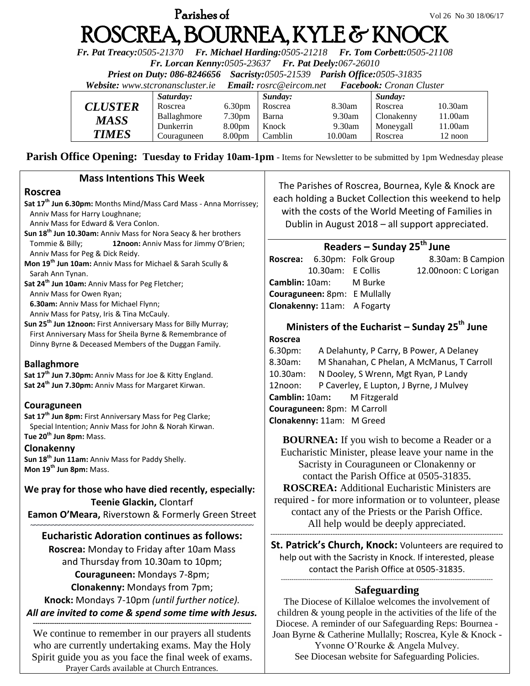# **Parishes of**  $Vol 26 No 30 18/06/17$ ROSCREA, BOURNEA, KYLE & KNOCK

*Fr. Pat Treacy:0505-21370 Fr. Michael Harding:0505-21218 Fr. Tom Corbett:0505-21108* 

*Fr. Lorcan Kenny:0505-23637 Fr. Pat Deely:067-26010* 

*Priest on Duty: 086-8246656 Sacristy:0505-21539 Parish Office:0505-31835* 

*Website: [www.stcronanscluster.ie](http://www.stcronanscluster.ie/) Email: [rosrc@eircom.net](mailto:rosrc@eircom.net) Facebook: Cronan Cluster* 

|                | Saturday:   |                    | Sunday: |           | Sunday:    |            |
|----------------|-------------|--------------------|---------|-----------|------------|------------|
| <b>CLUSTER</b> | Roscrea     | 6.30 <sub>pm</sub> | Roscrea | 8.30am    | Roscrea    | $10.30$ am |
| MASS           | Ballaghmore | 7.30 <sub>pm</sub> | Barna   | $9.30$ am | Clonakenny | 11.00am    |
|                | Dunkerrin   | 8.00 <sub>pm</sub> | Knock   | 9.30am    | Moneygall  | 11.00am    |
| <b>TIMES</b>   | Couraguneen | 8.00 <sub>pm</sub> | Camblin | 10.00am   | Roscrea    | 12 noon    |

**Parish Office Opening: Tuesday to Friday 10am-1pm** - Items for Newsletter to be submitted by 1pm Wednesday please

#### **Mass Intentions This Week**

#### **Roscrea**

- **Sat 17th Jun 6.30pm:** Months Mind/Mass Card Mass Anna Morrissey; Anniv Mass for Harry Loughnane; Anniv Mass for Edward & Vera Conlon. **Sun 18th Jun 10.30am:** Anniv Mass for Nora Seacy & her brothers Tommie & Billy; **12noon:** Anniv Mass for Jimmy O'Brien; Anniv Mass for Peg & Dick Reidy. **Mon 19th Jun 10am:** Anniv Mass for Michael & Sarah Scully &
- Sarah Ann Tynan.

**Sat 24th Jun 10am:** Anniv Mass for Peg Fletcher;

Anniv Mass for Owen Ryan;

 **6.30am:** Anniv Mass for Michael Flynn;

Anniv Mass for Patsy, Iris & Tina McCauly.

**Sun 25th Jun 12noon:** First Anniversary Mass for Billy Murray; First Anniversary Mass for Sheila Byrne & Remembrance of Dinny Byrne & Deceased Members of the Duggan Family.

#### **Ballaghmore**

**Sat 17th Jun 7.30pm:** Anniv Mass for Joe & Kitty England. **Sat 24th Jun 7.30pm:** Anniv Mass for Margaret Kirwan.

#### **Couraguneen**

**Sat 17th Jun 8pm:** First Anniversary Mass for Peg Clarke; Special Intention; Anniv Mass for John & Norah Kirwan. **Tue 20th Jun 8pm:** Mass.

#### **Clonakenny**

**Sun 18th Jun 11am:** Anniv Mass for Paddy Shelly. **Mon 19th Jun 8pm:** Mass.

### **We pray for those who have died recently, especially: Teenie Glackin,** Clontarf

**Eamon O'Meara,** Riverstown & Formerly Green Street **~~~~~~~~~~~~~~~~~~~~~~~~~~~~~~~~~~~~~~~~~~~~~~~~~~~~~~~~~~~~~~**

# **Eucharistic Adoration continues as follows:**

**Roscrea:** Monday to Friday after 10am Mass and Thursday from 10.30am to 10pm; **Couraguneen:** Mondays 7-8pm; **Clonakenny:** Mondays from 7pm; **Knock:** Mondays 7-10pm *(until further notice). All are invited to come & spend some time with Jesus.*

**-------------------------------------------------------------------------------------------------------** We continue to remember in our prayers all students who are currently undertaking exams. May the Holy Spirit guide you as you face the final week of exams. Prayer Cards available at Church Entrances.

The Parishes of Roscrea, Bournea, Kyle & Knock are each holding a Bucket Collection this weekend to help with the costs of the World Meeting of Families in Dublin in August 2018 – all support appreciated.

# **Readers – Sunday 25th June**

|                                     |                   | Roscrea: 6.30pm: Folk Group | 8.30am: B Campion    |
|-------------------------------------|-------------------|-----------------------------|----------------------|
|                                     | 10.30am: E Collis |                             | 12.00noon: C Lorigan |
| <b>Camblin:</b> 10am: M Burke       |                   |                             |                      |
| <b>Couraguneen:</b> 8pm: E Mullally |                   |                             |                      |
| <b>Clonakenny: 11am:</b> A Fogarty  |                   |                             |                      |
|                                     |                   |                             |                      |

#### **Ministers of the Eucharist – Sunday 25th June Roscrea**

| 6.30pm:                     | A Delahunty, P Carry, B Power, A Delaney   |  |  |
|-----------------------------|--------------------------------------------|--|--|
| 8.30am:                     | M Shanahan, C Phelan, A McManus, T Carroll |  |  |
| 10.30am:                    | N Dooley, S Wrenn, Mgt Ryan, P Landy       |  |  |
| 12noon:                     | P Caverley, E Lupton, J Byrne, J Mulvey    |  |  |
| Camblin: 10am: M Fitzgerald |                                            |  |  |
| Couraguneen: 8pm: M Carroll |                                            |  |  |
| Clonakenny: 11am: M Greed   |                                            |  |  |
|                             |                                            |  |  |

**BOURNEA:** If you wish to become a Reader or a Eucharistic Minister, please leave your name in the Sacristy in Couraguneen or Clonakenny or contact the Parish Office at 0505-31835. **ROSCREA:** Additional Eucharistic Ministers are required - for more information or to volunteer, please contact any of the Priests or the Parish Office. All help would be deeply appreciated. -----------------------------------------------------------------------------------------------------

**St. Patrick's Church, Knock:** Volunteers are required to help out with the Sacristy in Knock. If interested, please contact the Parish Office at 0505-31835. ----------------------------------------------------------------------------------------------------

# **Safeguarding**

The Diocese of Killaloe welcomes the involvement of children & young people in the activities of the life of the Diocese. A reminder of our Safeguarding Reps: Bournea - Joan Byrne & Catherine Mullally; Roscrea, Kyle & Knock - Yvonne O'Rourke & Angela Mulvey.

See Diocesan website for Safeguarding Policies.